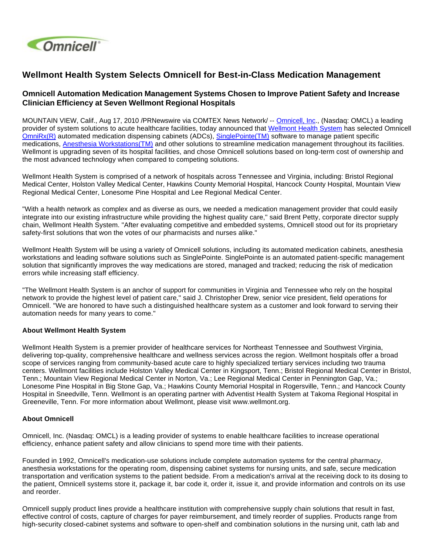

## **Wellmont Health System Selects Omnicell for Best-in-Class Medication Management**

## **Omnicell Automation Medication Management Systems Chosen to Improve Patient Safety and Increase Clinician Efficiency at Seven Wellmont Regional Hospitals**

MOUNTAIN VIEW, Calif., Aug 17, 2010 /PRNewswire via COMTEX News Network/ -- [Omnicell, Inc](http://www.omnicell.com/)., (Nasdaq: OMCL) a leading provider of system solutions to acute healthcare facilities, today announced that [Wellmont Health System](http://www.wellmont.org/) has selected Omnicell [OmniRx\(R\)](http://www.omnicell.com/Solutions/Medication-Dispensing/Automated-Dispensing-Cabinets/Pages/OmniRX.aspx) automated medication dispensing cabinets (ADCs), [SinglePointe\(TM\)](http://www.omnicell.com/Solutions/Medication-Dispensing/Automated-Dispensing-Cabinets/Pages/SinglePointe.aspx) software to manage patient specific medications, [Anesthesia Workstations\(TM\)](http://www.omnicell.com/Solutions/Medication-Dispensing/Pages/Anesthesia-Workstation.aspx) and other solutions to streamline medication management throughout its facilities. Wellmont is upgrading seven of its hospital facilities, and chose Omnicell solutions based on long-term cost of ownership and the most advanced technology when compared to competing solutions.

Wellmont Health System is comprised of a network of hospitals across Tennessee and Virginia, including: Bristol Regional Medical Center, Holston Valley Medical Center, Hawkins County Memorial Hospital, Hancock County Hospital, Mountain View Regional Medical Center, Lonesome Pine Hospital and Lee Regional Medical Center.

"With a health network as complex and as diverse as ours, we needed a medication management provider that could easily integrate into our existing infrastructure while providing the highest quality care," said Brent Petty, corporate director supply chain, Wellmont Health System. "After evaluating competitive and embedded systems, Omnicell stood out for its proprietary safety-first solutions that won the votes of our pharmacists and nurses alike."

Wellmont Health System will be using a variety of Omnicell solutions, including its automated medication cabinets, anesthesia workstations and leading software solutions such as SinglePointe. SinglePointe is an automated patient-specific management solution that significantly improves the way medications are stored, managed and tracked; reducing the risk of medication errors while increasing staff efficiency.

"The Wellmont Health System is an anchor of support for communities in Virginia and Tennessee who rely on the hospital network to provide the highest level of patient care," said J. Christopher Drew, senior vice president, field operations for Omnicell. "We are honored to have such a distinguished healthcare system as a customer and look forward to serving their automation needs for many years to come."

## **About Wellmont Health System**

Wellmont Health System is a premier provider of healthcare services for Northeast Tennessee and Southwest Virginia, delivering top-quality, comprehensive healthcare and wellness services across the region. Wellmont hospitals offer a broad scope of services ranging from community-based acute care to highly specialized tertiary services including two trauma centers. Wellmont facilities include Holston Valley Medical Center in Kingsport, Tenn.; Bristol Regional Medical Center in Bristol, Tenn.; Mountain View Regional Medical Center in Norton, Va.; Lee Regional Medical Center in Pennington Gap, Va.; Lonesome Pine Hospital in Big Stone Gap, Va.; Hawkins County Memorial Hospital in Rogersville, Tenn.; and Hancock County Hospital in Sneedville, Tenn. Wellmont is an operating partner with Adventist Health System at Takoma Regional Hospital in Greeneville, Tenn. For more information about Wellmont, please visit www.wellmont.org.

## **About Omnicell**

Omnicell, Inc. (Nasdaq: OMCL) is a leading provider of systems to enable healthcare facilities to increase operational efficiency, enhance patient safety and allow clinicians to spend more time with their patients.

Founded in 1992, Omnicell's medication-use solutions include complete automation systems for the central pharmacy, anesthesia workstations for the operating room, dispensing cabinet systems for nursing units, and safe, secure medication transportation and verification systems to the patient bedside. From a medication's arrival at the receiving dock to its dosing to the patient, Omnicell systems store it, package it, bar code it, order it, issue it, and provide information and controls on its use and reorder.

Omnicell supply product lines provide a healthcare institution with comprehensive supply chain solutions that result in fast, effective control of costs, capture of charges for payer reimbursement, and timely reorder of supplies. Products range from high-security closed-cabinet systems and software to open-shelf and combination solutions in the nursing unit, cath lab and